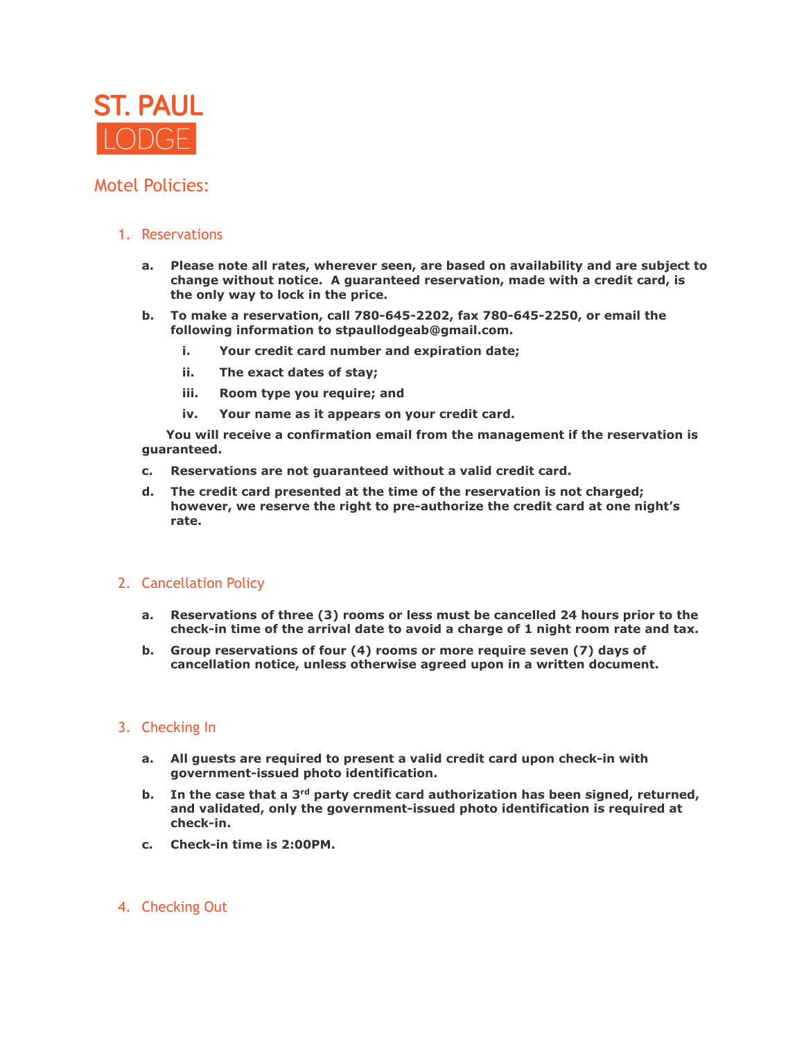

## Motel Policies:

## 1. Reservations

- **a. Please note all rates, wherever seen, are based on availability and are subject to change without notice. A guaranteed reservation, made with a credit card, is the only way to lock in the price.**
- **b. To make a reservation, call 780-645-2202, fax 780-645-2250, or email the following information to stpaullodgeab@gmail.com.**
	- **i. Your credit card number and expiration date;**
	- **ii. The exact dates of stay;**
	- **iii. Room type you require; and**
	- **iv. Your name as it appears on your credit card.**

 **You will receive a confirmation email from the management if the reservation is guaranteed.**

- **c. Reservations are not guaranteed without a valid credit card.**
- **d. The credit card presented at the time of the reservation is not charged; however, we reserve the right to pre-authorize the credit card at one night's rate.**

## 2. Cancellation Policy

- **a. Reservations of three (3) rooms or less must be cancelled 24 hours prior to the check-in time of the arrival date to avoid a charge of 1 night room rate and tax.**
- **b. Group reservations of four (4) rooms or more require seven (7) days of cancellation notice, unless otherwise agreed upon in a written document.**

## 3. Checking In

- **a. All guests are required to present a valid credit card upon check-in with government-issued photo identification.**
- b. In the case that a 3<sup>rd</sup> party credit card authorization has been signed, returned, **and validated, only the government-issued photo identification is required at check-in.**
- **c. Check-in time is 2:00PM.**
- 4. Checking Out